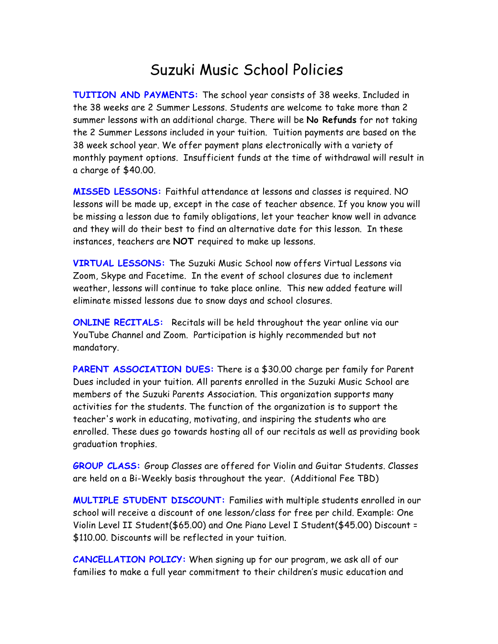## Suzuki Music School Policies

**TUITION AND PAYMENTS:** The school year consists of 38 weeks. Included in the 38 weeks are 2 Summer Lessons. Students are welcome to take more than 2 summer lessons with an additional charge. There will be **No Refunds** for not taking the 2 Summer Lessons included in your tuition. Tuition payments are based on the 38 week school year. We offer payment plans electronically with a variety of monthly payment options. Insufficient funds at the time of withdrawal will result in a charge of \$40.00.

**MISSED LESSONS:** Faithful attendance at lessons and classes is required. NO lessons will be made up, except in the case of teacher absence. If you know you will be missing a lesson due to family obligations, let your teacher know well in advance and they will do their best to find an alternative date for this lesson. In these instances, teachers are **NOT** required to make up lessons.

**VIRTUAL LESSONS:** The Suzuki Music School now offers Virtual Lessons via Zoom, Skype and Facetime. In the event of school closures due to inclement weather, lessons will continue to take place online. This new added feature will eliminate missed lessons due to snow days and school closures.

**ONLINE RECITALS:** Recitals will be held throughout the year online via our YouTube Channel and Zoom. Participation is highly recommended but not mandatory.

PARENT ASSOCIATION DUES: There is a \$30.00 charge per family for Parent Dues included in your tuition. All parents enrolled in the Suzuki Music School are members of the Suzuki Parents Association. This organization supports many activities for the students. The function of the organization is to support the teacher's work in educating, motivating, and inspiring the students who are enrolled. These dues go towards hosting all of our recitals as well as providing book graduation trophies.

**GROUP CLASS:** Group Classes are offered for Violin and Guitar Students. Classes are held on a Bi-Weekly basis throughout the year. (Additional Fee TBD)

**MULTIPLE STUDENT DISCOUNT:** Families with multiple students enrolled in our school will receive a discount of one lesson/class for free per child. Example: One Violin Level II Student(\$65.00) and One Piano Level I Student(\$45.00) Discount = \$110.00. Discounts will be reflected in your tuition.

**CANCELLATION POLICY:** When signing up for our program, we ask all of our families to make a full year commitment to their children's music education and